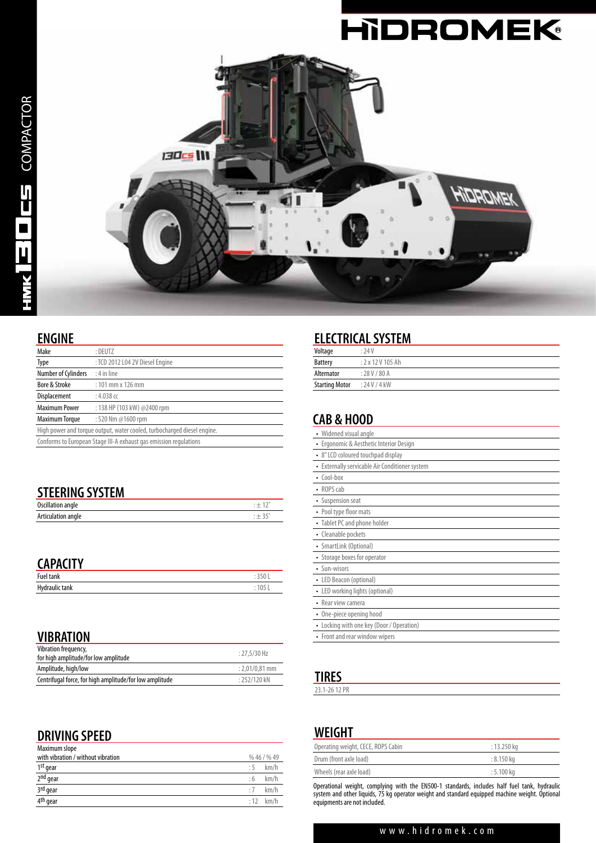

#### **ENGINE**

| -.                                                                      |                                 |  |
|-------------------------------------------------------------------------|---------------------------------|--|
| Make                                                                    | : DEUTZ                         |  |
| Type                                                                    | : TCD 2012 L04 2V Diesel Engine |  |
| Number of Cylinders                                                     | $: 4$ in line                   |  |
| Bore & Stroke                                                           | $: 101$ mm x 126 mm             |  |
| Displacement                                                            | $: 4.038$ cc                    |  |
| <b>Maximum Power</b><br>: 138 HP (103 kW) @2400 rpm                     |                                 |  |
| <b>Maximum Torque</b>                                                   | :520 Nm @1600 rpm               |  |
| High power and torque output, water cooled, turbocharged diesel engine. |                                 |  |
| Conforms to European Stage III-A exhaust gas emission regulations       |                                 |  |

| <b>STEERING SYSTEM</b> |         |
|------------------------|---------|
| Oscillation angle      | $: +12$ |
| Articulation angle     | $: +35$ |

## **CAPACITY**

| Fue<br>'allK                 | JU |
|------------------------------|----|
| Hydraulic<br>ldiik<br>------ | νJ |

#### **VIBRATION**

| Vibration frequency,<br>$: 27.5/30$ Hz<br>for high amplitude/for low amplitude |                  |
|--------------------------------------------------------------------------------|------------------|
| Amplitude, high/low                                                            | $: 2.01/0.81$ mm |
| Centrifugal force, for high amplitude/for low amplitude                        | $: 252/120$ kN   |
|                                                                                |                  |

# **DRIVING SPEED**

| Maximum slope                      |           |            |
|------------------------------------|-----------|------------|
| with vibration / without vibration |           | %46/%49    |
| 1st gear                           | .5        | km/h       |
| 2 <sup>nd</sup> gear               | :6        | km/h       |
| 3rd gear                           | $\cdot$ 7 | km/h       |
| 4 <sup>th</sup> gear               |           | $:12$ km/h |

# **ELECTRICAL SYSTEM**

| Voltage               | : 74V         |
|-----------------------|---------------|
| <b>Battery</b>        | : 2x12V105Ah  |
| Alternator            | : 28 V / 80 A |
| <b>Starting Motor</b> | : 24V/4kW     |

## **CAB & HOOD**

| Widened visual angle                              |
|---------------------------------------------------|
| Ergonomic & Aesthetic Interior Design<br>٠        |
| • 8" LCD coloured touchpad display                |
| Externally servicable Air Conditioner system<br>٠ |
| $\cdot$ Cool-box                                  |
| • ROPS cab                                        |
| • Suspension seat                                 |
| • Pool type floor mats                            |
| • Tablet PC and phone holder                      |
| • Cleanable pockets                               |
| • SmartLink (Optional)                            |
| • Storage boxes for operator                      |
| • Sun-wisors                                      |
| • LED Beacon (optional)                           |
| • LED working lights (optional)                   |
| • Rear view camera                                |
| • One-piece opening hood                          |
| • Locking with one key (Door / Operation)         |
| • Front and rear window wipers                    |
|                                                   |

## **TIRES**

23.1-26 12 PR

### **WEIGHT**

| Operating weight, CECE, ROPS Cabin | $: 13.250 \text{ kg}$ |  |
|------------------------------------|-----------------------|--|
| Drum (front axle load)             | : 8.150 kg            |  |
| Wheels (rear axle load)            | : 5.100 kg            |  |
|                                    |                       |  |

Operational weight, complying with the EN500-1 standards, includes half fuel tank, hydraulic system and other liquids, 75 kg operator weight and standard equipped machine weight. Optional equipments are not included.

#### www.hidromek.com